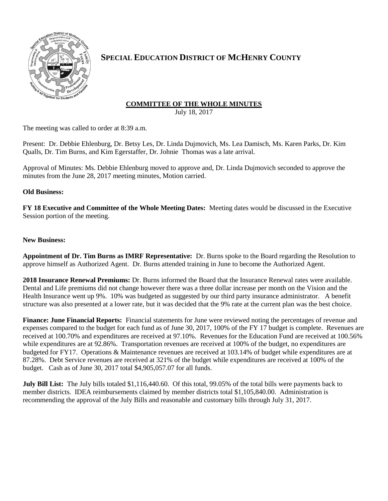

## **SPECIAL EDUCATION DISTRICT OF MCHENRY COUNTY**

# **COMMITTEE OF THE WHOLE MINUTES**

July 18, 2017

The meeting was called to order at 8:39 a.m.

Present: Dr. Debbie Ehlenburg, Dr. Betsy Les, Dr. Linda Dujmovich, Ms. Lea Damisch, Ms. Karen Parks, Dr. Kim Qualls, Dr. Tim Burns, and Kim Egerstaffer, Dr. Johnie Thomas was a late arrival.

Approval of Minutes: Ms. Debbie Ehlenburg moved to approve and, Dr. Linda Dujmovich seconded to approve the minutes from the June 28, 2017 meeting minutes, Motion carried.

#### **Old Business:**

**FY 18 Executive and Committee of the Whole Meeting Dates:** Meeting dates would be discussed in the Executive Session portion of the meeting.

### **New Business:**

**Appointment of Dr. Tim Burns as IMRF Representative:** Dr. Burns spoke to the Board regarding the Resolution to approve himself as Authorized Agent. Dr. Burns attended training in June to become the Authorized Agent.

**2018 Insurance Renewal Premiums:** Dr. Burns informed the Board that the Insurance Renewal rates were available. Dental and Life premiums did not change however there was a three dollar increase per month on the Vision and the Health Insurance went up 9%. 10% was budgeted as suggested by our third party insurance administrator. A benefit structure was also presented at a lower rate, but it was decided that the 9% rate at the current plan was the best choice.

**Finance: June Financial Reports:** Financial statements for June were reviewed noting the percentages of revenue and expenses compared to the budget for each fund as of June 30, 2017, 100% of the FY 17 budget is complete. Revenues are received at 100.70% and expenditures are received at 97.10%. Revenues for the Education Fund are received at 100.56% while expenditures are at 92.86%. Transportation revenues are received at 100% of the budget, no expenditures are budgeted for FY17. Operations & Maintenance revenues are received at 103.14% of budget while expenditures are at 87.28%. Debt Service revenues are received at 321% of the budget while expenditures are received at 100% of the budget. Cash as of June 30, 2017 total \$4,905,057.07 for all funds.

**July Bill List:** The July bills totaled \$1,116,440.60. Of this total, 99.05% of the total bills were payments back to member districts. IDEA reimbursements claimed by member districts total \$1,105,840.00. Administration is recommending the approval of the July Bills and reasonable and customary bills through July 31, 2017.